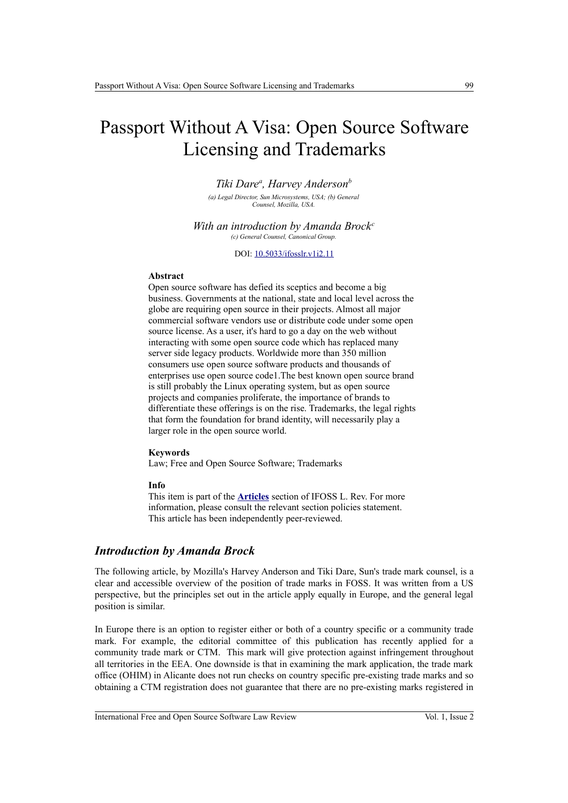# Passport Without A Visa: Open Source Software Licensing and Trademarks

*Tiki Dare<sup>a</sup> , Harvey Anderson<sup>b</sup>*

*(a) Legal Director, Sun Microsystems, USA; (b) General Counsel, Mozilla, USA.*

*With an introduction by Amanda Brock<sup>c</sup> (c) General Counsel, Canonical Group.*

DOI: 10.5033/ifosslr.v1i2.11

#### **Abstract**

Open source software has defied its sceptics and become a big business. Governments at the national, state and local level across the globe are requiring open source in their projects. Almost all major commercial software vendors use or distribute code under some open source license. As a user, it's hard to go a day on the web without interacting with some open source code which has replaced many server side legacy products. Worldwide more than 350 million consumers use open source software products and thousands of enterprises use open source code1.The best known open source brand is still probably the Linux operating system, but as open source projects and companies proliferate, the importance of brands to differentiate these offerings is on the rise. Trademarks, the legal rights that form the foundation for brand identity, will necessarily play a larger role in the open source world.

#### **Keywords**

Law; Free and Open Source Software; Trademarks

#### **Info**

This item is part of the **[Articles](http://www.ifosslr.org/ifosslr/about/editorialPolicies#sectionPolicies)** section of IFOSS L. Rev. For more information, please consult the relevant section policies statement. This article has been independently peer-reviewed.

### *Introduction by Amanda Brock*

The following article, by Mozilla's Harvey Anderson and Tiki Dare, Sun's trade mark counsel, is a clear and accessible overview of the position of trade marks in FOSS. It was written from a US perspective, but the principles set out in the article apply equally in Europe, and the general legal position is similar.

In Europe there is an option to register either or both of a country specific or a community trade mark. For example, the editorial committee of this publication has recently applied for a community trade mark or CTM. This mark will give protection against infringement throughout all territories in the EEA. One downside is that in examining the mark application, the trade mark office (OHIM) in Alicante does not run checks on country specific pre-existing trade marks and so obtaining a CTM registration does not guarantee that there are no pre-existing marks registered in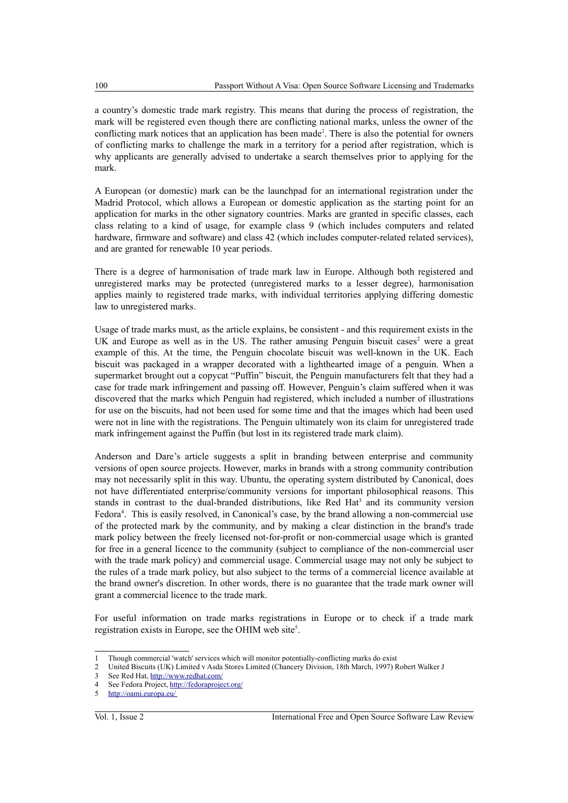a country's domestic trade mark registry. This means that during the process of registration, the mark will be registered even though there are conflicting national marks, unless the owner of the conflicting mark notices that an application has been made<sup>[1](#page-1-0)</sup>. There is also the potential for owners of conflicting marks to challenge the mark in a territory for a period after registration, which is why applicants are generally advised to undertake a search themselves prior to applying for the mark.

A European (or domestic) mark can be the launchpad for an international registration under the Madrid Protocol, which allows a European or domestic application as the starting point for an application for marks in the other signatory countries. Marks are granted in specific classes, each class relating to a kind of usage, for example class 9 (which includes computers and related hardware, firmware and software) and class 42 (which includes computer-related related services), and are granted for renewable 10 year periods.

There is a degree of harmonisation of trade mark law in Europe. Although both registered and unregistered marks may be protected (unregistered marks to a lesser degree), harmonisation applies mainly to registered trade marks, with individual territories applying differing domestic law to unregistered marks.

Usage of trade marks must, as the article explains, be consistent - and this requirement exists in the UK and Europe as well as in the US. The rather amusing Penguin biscuit cases<sup>[2](#page-1-1)</sup> were a great example of this. At the time, the Penguin chocolate biscuit was well-known in the UK. Each biscuit was packaged in a wrapper decorated with a lighthearted image of a penguin. When a supermarket brought out a copycat "Puffin" biscuit, the Penguin manufacturers felt that they had a case for trade mark infringement and passing off. However, Penguin's claim suffered when it was discovered that the marks which Penguin had registered, which included a number of illustrations for use on the biscuits, had not been used for some time and that the images which had been used were not in line with the registrations. The Penguin ultimately won its claim for unregistered trade mark infringement against the Puffin (but lost in its registered trade mark claim).

Anderson and Dare's article suggests a split in branding between enterprise and community versions of open source projects. However, marks in brands with a strong community contribution may not necessarily split in this way. Ubuntu, the operating system distributed by Canonical, does not have differentiated enterprise/community versions for important philosophical reasons. This stands in contrast to the dual-branded distributions, like Red Hat<sup>[3](#page-1-2)</sup> and its community version Fedora<sup>[4](#page-1-3)</sup>. This is easily resolved, in Canonical's case, by the brand allowing a non-commercial use of the protected mark by the community, and by making a clear distinction in the brand's trade mark policy between the freely licensed not-for-profit or non-commercial usage which is granted for free in a general licence to the community (subject to compliance of the non-commercial user with the trade mark policy) and commercial usage. Commercial usage may not only be subject to the rules of a trade mark policy, but also subject to the terms of a commercial licence available at the brand owner's discretion. In other words, there is no guarantee that the trade mark owner will grant a commercial licence to the trade mark.

For useful information on trade marks registrations in Europe or to check if a trade mark registration exists in Europe, see the OHIM web site<sup>[5](#page-1-4)</sup>.

<span id="page-1-0"></span><sup>1</sup> Though commercial 'watch' services which will monitor potentially-conflicting marks do exist

<span id="page-1-1"></span><sup>2</sup> United Biscuits (UK) Limited v Asda Stores Limited (Chancery Division, 18th March, 1997) Robert Walker J

<span id="page-1-2"></span><sup>3</sup> See Red Hat,<http://www.redhat.com/>

<span id="page-1-3"></span><sup>4</sup> See Fedora Project,<http://fedoraproject.org/>

<span id="page-1-4"></span><sup>5</sup><http://oami.europa.eu/>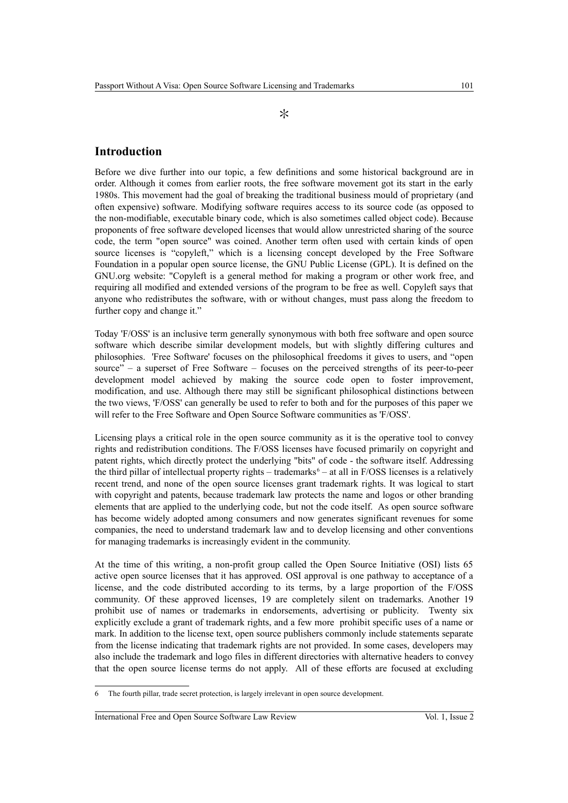#### $\ast$

## **Introduction**

Before we dive further into our topic, a few definitions and some historical background are in order. Although it comes from earlier roots, the free software movement got its start in the early 1980s. This movement had the goal of breaking the traditional business mould of proprietary (and often expensive) software. Modifying software requires access to its source code (as opposed to the non-modifiable, executable binary code, which is also sometimes called object code). Because proponents of free software developed licenses that would allow unrestricted sharing of the source code, the term "open source" was coined. Another term often used with certain kinds of open source licenses is "copyleft," which is a licensing concept developed by the Free Software Foundation in a popular open source license, the GNU Public License (GPL). It is defined on the GNU.org website: "Copyleft is a general method for making a program or other work free, and requiring all modified and extended versions of the program to be free as well. Copyleft says that anyone who redistributes the software, with or without changes, must pass along the freedom to further copy and change it."

Today 'F/OSS' is an inclusive term generally synonymous with both free software and open source software which describe similar development models, but with slightly differing cultures and philosophies. 'Free Software' focuses on the philosophical freedoms it gives to users, and "open source" – a superset of Free Software – focuses on the perceived strengths of its peer-to-peer development model achieved by making the source code open to foster improvement, modification, and use. Although there may still be significant philosophical distinctions between the two views, 'F/OSS' can generally be used to refer to both and for the purposes of this paper we will refer to the Free Software and Open Source Software communities as 'F/OSS'.

Licensing plays a critical role in the open source community as it is the operative tool to convey rights and redistribution conditions. The F/OSS licenses have focused primarily on copyright and patent rights, which directly protect the underlying "bits" of code - the software itself. Addressing the third pillar of intellectual property rights  $-$  trademarks<sup> $6$ </sup>  $-$  at all in F/OSS licenses is a relatively recent trend, and none of the open source licenses grant trademark rights. It was logical to start with copyright and patents, because trademark law protects the name and logos or other branding elements that are applied to the underlying code, but not the code itself. As open source software has become widely adopted among consumers and now generates significant revenues for some companies, the need to understand trademark law and to develop licensing and other conventions for managing trademarks is increasingly evident in the community.

At the time of this writing, a non-profit group called the Open Source Initiative (OSI) lists 65 active open source licenses that it has approved. OSI approval is one pathway to acceptance of a license, and the code distributed according to its terms, by a large proportion of the F/OSS community. Of these approved licenses, 19 are completely silent on trademarks. Another 19 prohibit use of names or trademarks in endorsements, advertising or publicity. Twenty six explicitly exclude a grant of trademark rights, and a few more prohibit specific uses of a name or mark. In addition to the license text, open source publishers commonly include statements separate from the license indicating that trademark rights are not provided. In some cases, developers may also include the trademark and logo files in different directories with alternative headers to convey that the open source license terms do not apply. All of these efforts are focused at excluding

<span id="page-2-0"></span>The fourth pillar, trade secret protection, is largely irrelevant in open source development.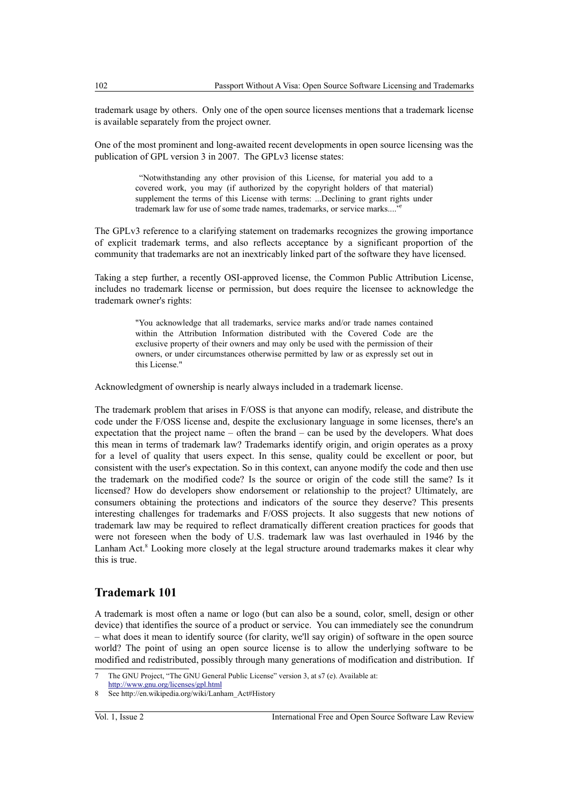trademark usage by others. Only one of the open source licenses mentions that a trademark license is available separately from the project owner.

One of the most prominent and long-awaited recent developments in open source licensing was the publication of GPL version 3 in 2007. The GPLv3 license states:

> "Notwithstanding any other provision of this License, for material you add to a covered work, you may (if authorized by the copyright holders of that material) supplement the terms of this License with terms: ...Declining to grant rights under trademark law for use of some trade names, trademarks, or service marks...."

The GPLv3 reference to a clarifying statement on trademarks recognizes the growing importance of explicit trademark terms, and also reflects acceptance by a significant proportion of the community that trademarks are not an inextricably linked part of the software they have licensed.

Taking a step further, a recently OSI-approved license, the Common Public Attribution License, includes no trademark license or permission, but does require the licensee to acknowledge the trademark owner's rights:

> "You acknowledge that all trademarks, service marks and/or trade names contained within the Attribution Information distributed with the Covered Code are the exclusive property of their owners and may only be used with the permission of their owners, or under circumstances otherwise permitted by law or as expressly set out in this License."

Acknowledgment of ownership is nearly always included in a trademark license.

The trademark problem that arises in F/OSS is that anyone can modify, release, and distribute the code under the F/OSS license and, despite the exclusionary language in some licenses, there's an expectation that the project name – often the brand – can be used by the developers. What does this mean in terms of trademark law? Trademarks identify origin, and origin operates as a proxy for a level of quality that users expect. In this sense, quality could be excellent or poor, but consistent with the user's expectation. So in this context, can anyone modify the code and then use the trademark on the modified code? Is the source or origin of the code still the same? Is it licensed? How do developers show endorsement or relationship to the project? Ultimately, are consumers obtaining the protections and indicators of the source they deserve? This presents interesting challenges for trademarks and F/OSS projects. It also suggests that new notions of trademark law may be required to reflect dramatically different creation practices for goods that were not foreseen when the body of U.S. trademark law was last overhauled in 1946 by the Lanham Act.<sup>[8](#page-3-1)</sup> Looking more closely at the legal structure around trademarks makes it clear why this is true.

## **Trademark 101**

A trademark is most often a name or logo (but can also be a sound, color, smell, design or other device) that identifies the source of a product or service. You can immediately see the conundrum – what does it mean to identify source (for clarity, we'll say origin) of software in the open source world? The point of using an open source license is to allow the underlying software to be modified and redistributed, possibly through many generations of modification and distribution. If

<span id="page-3-0"></span><sup>7</sup> The GNU Project, "The GNU General Public License" version 3, at s7 (e). Available at:

<http://www.gnu.org/licenses/gpl.html>

<span id="page-3-1"></span>See http://en.wikipedia.org/wiki/Lanham\_Act#History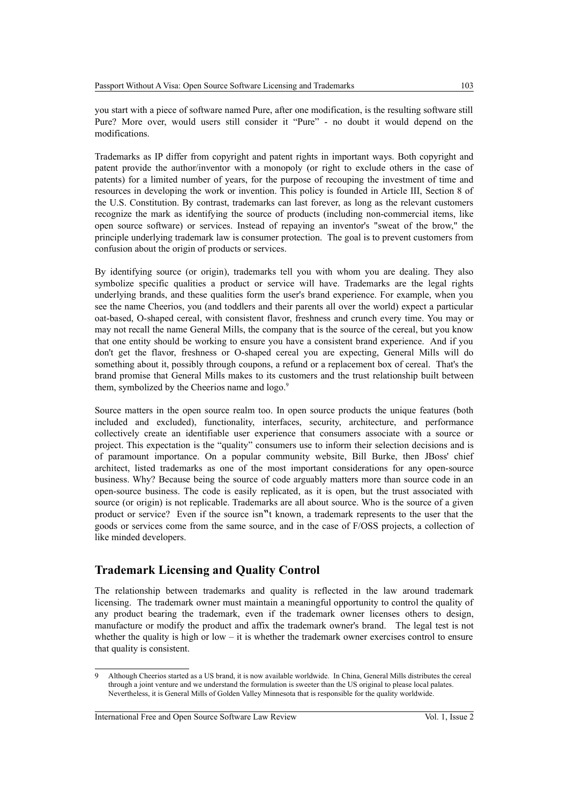you start with a piece of software named Pure, after one modification, is the resulting software still Pure? More over, would users still consider it "Pure" - no doubt it would depend on the modifications.

Trademarks as IP differ from copyright and patent rights in important ways. Both copyright and patent provide the author/inventor with a monopoly (or right to exclude others in the case of patents) for a limited number of years, for the purpose of recouping the investment of time and resources in developing the work or invention. This policy is founded in Article III, Section 8 of the U.S. Constitution. By contrast, trademarks can last forever, as long as the relevant customers recognize the mark as identifying the source of products (including non-commercial items, like open source software) or services. Instead of repaying an inventor's "sweat of the brow," the principle underlying trademark law is consumer protection. The goal is to prevent customers from confusion about the origin of products or services.

By identifying source (or origin), trademarks tell you with whom you are dealing. They also symbolize specific qualities a product or service will have. Trademarks are the legal rights underlying brands, and these qualities form the user's brand experience. For example, when you see the name Cheerios, you (and toddlers and their parents all over the world) expect a particular oat-based, O-shaped cereal, with consistent flavor, freshness and crunch every time. You may or may not recall the name General Mills, the company that is the source of the cereal, but you know that one entity should be working to ensure you have a consistent brand experience. And if you don't get the flavor, freshness or O-shaped cereal you are expecting, General Mills will do something about it, possibly through coupons, a refund or a replacement box of cereal. That's the brand promise that General Mills makes to its customers and the trust relationship built between them, symbolized by the Cheerios name and logo.<sup>[9](#page-4-0)</sup>

Source matters in the open source realm too. In open source products the unique features (both included and excluded), functionality, interfaces, security, architecture, and performance collectively create an identifiable user experience that consumers associate with a source or project. This expectation is the "quality" consumers use to inform their selection decisions and is of paramount importance. On a popular community website, Bill Burke, then JBoss' chief architect, listed trademarks as one of the most important considerations for any open-source business. Why? Because being the source of code arguably matters more than source code in an open-source business. The code is easily replicated, as it is open, but the trust associated with source (or origin) is not replicable. Trademarks are all about source. Who is the source of a given product or service? Even if the source isn"t known, a trademark represents to the user that the goods or services come from the same source, and in the case of F/OSS projects, a collection of like minded developers.

# **Trademark Licensing and Quality Control**

The relationship between trademarks and quality is reflected in the law around trademark licensing. The trademark owner must maintain a meaningful opportunity to control the quality of any product bearing the trademark, even if the trademark owner licenses others to design, manufacture or modify the product and affix the trademark owner's brand. The legal test is not whether the quality is high or low – it is whether the trademark owner exercises control to ensure that quality is consistent.

International Free and Open Source Software Law Review Vol. 1, Issue 2

<span id="page-4-0"></span><sup>9</sup> Although Cheerios started as a US brand, it is now available worldwide. In China, General Mills distributes the cereal through a joint venture and we understand the formulation is sweeter than the US original to please local palates. Nevertheless, it is General Mills of Golden Valley Minnesota that is responsible for the quality worldwide.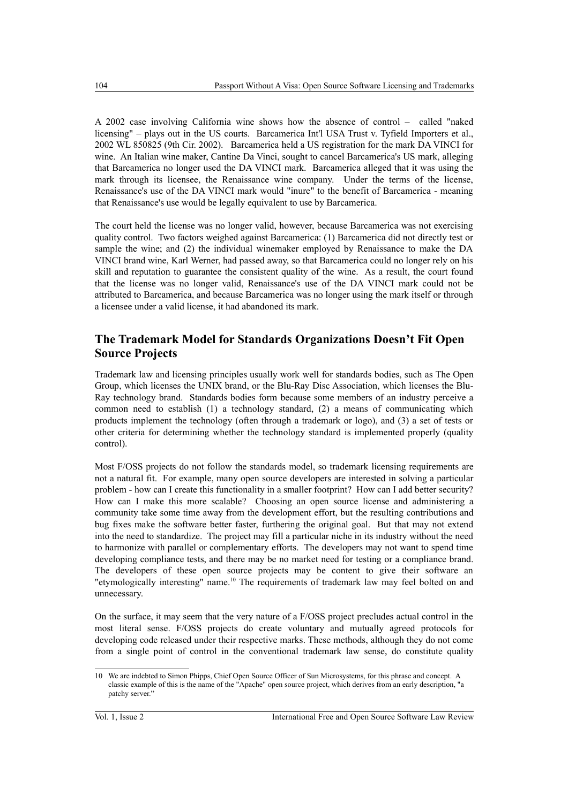A 2002 case involving California wine shows how the absence of control – called "naked licensing" – plays out in the US courts. Barcamerica Int'l USA Trust v. Tyfield Importers et al., 2002 WL 850825 (9th Cir. 2002). Barcamerica held a US registration for the mark DA VINCI for wine. An Italian wine maker, Cantine Da Vinci, sought to cancel Barcamerica's US mark, alleging that Barcamerica no longer used the DA VINCI mark. Barcamerica alleged that it was using the mark through its licensee, the Renaissance wine company. Under the terms of the license, Renaissance's use of the DA VINCI mark would "inure" to the benefit of Barcamerica - meaning that Renaissance's use would be legally equivalent to use by Barcamerica.

The court held the license was no longer valid, however, because Barcamerica was not exercising quality control. Two factors weighed against Barcamerica: (1) Barcamerica did not directly test or sample the wine; and (2) the individual winemaker employed by Renaissance to make the DA VINCI brand wine, Karl Werner, had passed away, so that Barcamerica could no longer rely on his skill and reputation to guarantee the consistent quality of the wine. As a result, the court found that the license was no longer valid, Renaissance's use of the DA VINCI mark could not be attributed to Barcamerica, and because Barcamerica was no longer using the mark itself or through a licensee under a valid license, it had abandoned its mark.

# **The Trademark Model for Standards Organizations Doesn't Fit Open Source Projects**

Trademark law and licensing principles usually work well for standards bodies, such as The Open Group, which licenses the UNIX brand, or the Blu-Ray Disc Association, which licenses the Blu-Ray technology brand. Standards bodies form because some members of an industry perceive a common need to establish (1) a technology standard, (2) a means of communicating which products implement the technology (often through a trademark or logo), and (3) a set of tests or other criteria for determining whether the technology standard is implemented properly (quality control).

Most F/OSS projects do not follow the standards model, so trademark licensing requirements are not a natural fit. For example, many open source developers are interested in solving a particular problem - how can I create this functionality in a smaller footprint? How can I add better security? How can I make this more scalable? Choosing an open source license and administering a community take some time away from the development effort, but the resulting contributions and bug fixes make the software better faster, furthering the original goal. But that may not extend into the need to standardize. The project may fill a particular niche in its industry without the need to harmonize with parallel or complementary efforts. The developers may not want to spend time developing compliance tests, and there may be no market need for testing or a compliance brand. The developers of these open source projects may be content to give their software an "etymologically interesting" name.<sup>[10](#page-5-0)</sup> The requirements of trademark law may feel bolted on and unnecessary.

On the surface, it may seem that the very nature of a F/OSS project precludes actual control in the most literal sense. F/OSS projects do create voluntary and mutually agreed protocols for developing code released under their respective marks. These methods, although they do not come from a single point of control in the conventional trademark law sense, do constitute quality

<span id="page-5-0"></span><sup>10</sup> We are indebted to Simon Phipps, Chief Open Source Officer of Sun Microsystems, for this phrase and concept. A classic example of this is the name of the "Apache" open source project, which derives from an early description, "a patchy server."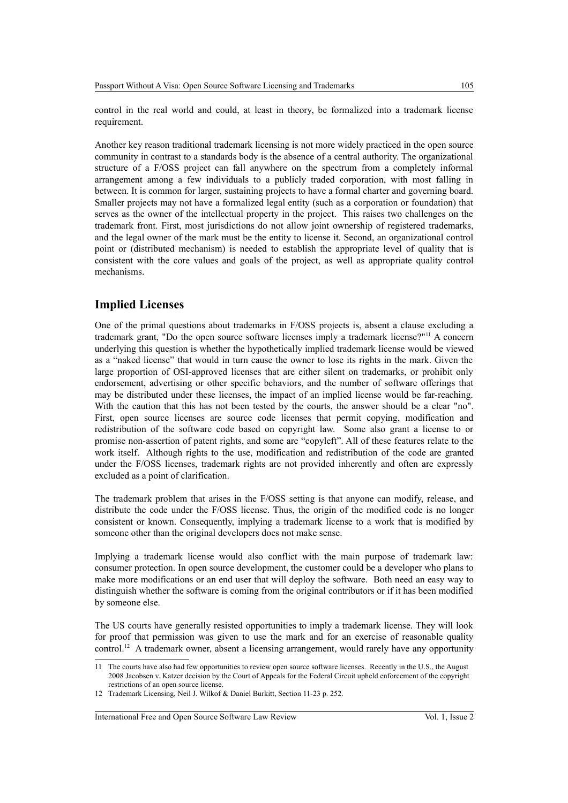control in the real world and could, at least in theory, be formalized into a trademark license requirement.

Another key reason traditional trademark licensing is not more widely practiced in the open source community in contrast to a standards body is the absence of a central authority. The organizational structure of a F/OSS project can fall anywhere on the spectrum from a completely informal arrangement among a few individuals to a publicly traded corporation, with most falling in between. It is common for larger, sustaining projects to have a formal charter and governing board. Smaller projects may not have a formalized legal entity (such as a corporation or foundation) that serves as the owner of the intellectual property in the project. This raises two challenges on the trademark front. First, most jurisdictions do not allow joint ownership of registered trademarks, and the legal owner of the mark must be the entity to license it. Second, an organizational control point or (distributed mechanism) is needed to establish the appropriate level of quality that is consistent with the core values and goals of the project, as well as appropriate quality control mechanisms.

# **Implied Licenses**

One of the primal questions about trademarks in F/OSS projects is, absent a clause excluding a trademark grant, "Do the open source software licenses imply a trademark license?"[11](#page-6-0) A concern underlying this question is whether the hypothetically implied trademark license would be viewed as a "naked license" that would in turn cause the owner to lose its rights in the mark. Given the large proportion of OSI-approved licenses that are either silent on trademarks, or prohibit only endorsement, advertising or other specific behaviors, and the number of software offerings that may be distributed under these licenses, the impact of an implied license would be far-reaching. With the caution that this has not been tested by the courts, the answer should be a clear "no". First, open source licenses are source code licenses that permit copying, modification and redistribution of the software code based on copyright law. Some also grant a license to or promise non-assertion of patent rights, and some are "copyleft". All of these features relate to the work itself. Although rights to the use, modification and redistribution of the code are granted under the F/OSS licenses, trademark rights are not provided inherently and often are expressly excluded as a point of clarification.

The trademark problem that arises in the F/OSS setting is that anyone can modify, release, and distribute the code under the F/OSS license. Thus, the origin of the modified code is no longer consistent or known. Consequently, implying a trademark license to a work that is modified by someone other than the original developers does not make sense.

Implying a trademark license would also conflict with the main purpose of trademark law: consumer protection. In open source development, the customer could be a developer who plans to make more modifications or an end user that will deploy the software. Both need an easy way to distinguish whether the software is coming from the original contributors or if it has been modified by someone else.

The US courts have generally resisted opportunities to imply a trademark license. They will look for proof that permission was given to use the mark and for an exercise of reasonable quality control.[12](#page-6-1) A trademark owner, absent a licensing arrangement, would rarely have any opportunity

International Free and Open Source Software Law Review Vol. 1, Issue 2

<span id="page-6-0"></span><sup>11</sup> The courts have also had few opportunities to review open source software licenses. Recently in the U.S., the August 2008 Jacobsen v. Katzer decision by the Court of Appeals for the Federal Circuit upheld enforcement of the copyright restrictions of an open source license.

<span id="page-6-1"></span><sup>12</sup> Trademark Licensing, Neil J. Wilkof & Daniel Burkitt, Section 11-23 p. 252.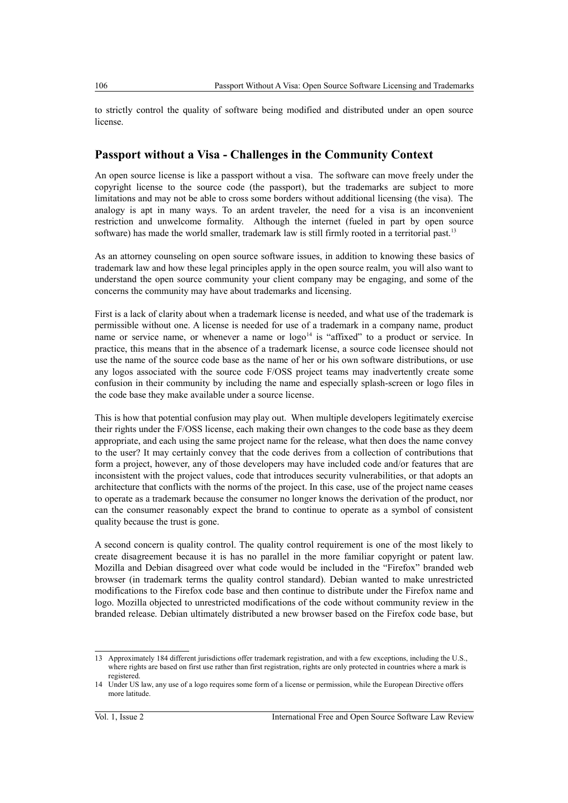to strictly control the quality of software being modified and distributed under an open source license.

# **Passport without a Visa - Challenges in the Community Context**

An open source license is like a passport without a visa. The software can move freely under the copyright license to the source code (the passport), but the trademarks are subject to more limitations and may not be able to cross some borders without additional licensing (the visa). The analogy is apt in many ways. To an ardent traveler, the need for a visa is an inconvenient restriction and unwelcome formality. Although the internet (fueled in part by open source software) has made the world smaller, trademark law is still firmly rooted in a territorial past.<sup>[13](#page-7-0)</sup>

As an attorney counseling on open source software issues, in addition to knowing these basics of trademark law and how these legal principles apply in the open source realm, you will also want to understand the open source community your client company may be engaging, and some of the concerns the community may have about trademarks and licensing.

First is a lack of clarity about when a trademark license is needed, and what use of the trademark is permissible without one. A license is needed for use of a trademark in a company name, product name or service name, or whenever a name or logo<sup>[14](#page-7-1)</sup> is "affixed" to a product or service. In practice, this means that in the absence of a trademark license, a source code licensee should not use the name of the source code base as the name of her or his own software distributions, or use any logos associated with the source code F/OSS project teams may inadvertently create some confusion in their community by including the name and especially splash-screen or logo files in the code base they make available under a source license.

This is how that potential confusion may play out. When multiple developers legitimately exercise their rights under the F/OSS license, each making their own changes to the code base as they deem appropriate, and each using the same project name for the release, what then does the name convey to the user? It may certainly convey that the code derives from a collection of contributions that form a project, however, any of those developers may have included code and/or features that are inconsistent with the project values, code that introduces security vulnerabilities, or that adopts an architecture that conflicts with the norms of the project. In this case, use of the project name ceases to operate as a trademark because the consumer no longer knows the derivation of the product, nor can the consumer reasonably expect the brand to continue to operate as a symbol of consistent quality because the trust is gone.

A second concern is quality control. The quality control requirement is one of the most likely to create disagreement because it is has no parallel in the more familiar copyright or patent law. Mozilla and Debian disagreed over what code would be included in the "Firefox" branded web browser (in trademark terms the quality control standard). Debian wanted to make unrestricted modifications to the Firefox code base and then continue to distribute under the Firefox name and logo. Mozilla objected to unrestricted modifications of the code without community review in the branded release. Debian ultimately distributed a new browser based on the Firefox code base, but

<span id="page-7-0"></span><sup>13</sup> Approximately 184 different jurisdictions offer trademark registration, and with a few exceptions, including the U.S., where rights are based on first use rather than first registration, rights are only protected in countries where a mark is registered.

<span id="page-7-1"></span><sup>14</sup> Under US law, any use of a logo requires some form of a license or permission, while the European Directive offers more latitude.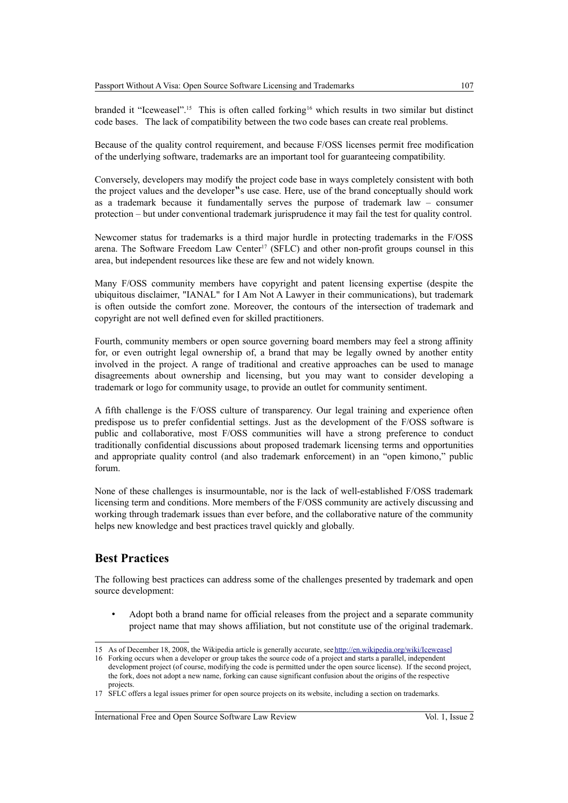branded it "Iceweasel".<sup>[15](#page-8-0)</sup> This is often called forking<sup>[16](#page-8-1)</sup> which results in two similar but distinct code bases. The lack of compatibility between the two code bases can create real problems.

Because of the quality control requirement, and because F/OSS licenses permit free modification of the underlying software, trademarks are an important tool for guaranteeing compatibility.

Conversely, developers may modify the project code base in ways completely consistent with both the project values and the developer"s use case. Here, use of the brand conceptually should work as a trademark because it fundamentally serves the purpose of trademark law – consumer protection – but under conventional trademark jurisprudence it may fail the test for quality control.

Newcomer status for trademarks is a third major hurdle in protecting trademarks in the F/OSS arena. The Software Freedom Law Center<sup>[17](#page-8-2)</sup> (SFLC) and other non-profit groups counsel in this area, but independent resources like these are few and not widely known.

Many F/OSS community members have copyright and patent licensing expertise (despite the ubiquitous disclaimer, "IANAL" for I Am Not A Lawyer in their communications), but trademark is often outside the comfort zone. Moreover, the contours of the intersection of trademark and copyright are not well defined even for skilled practitioners.

Fourth, community members or open source governing board members may feel a strong affinity for, or even outright legal ownership of, a brand that may be legally owned by another entity involved in the project. A range of traditional and creative approaches can be used to manage disagreements about ownership and licensing, but you may want to consider developing a trademark or logo for community usage, to provide an outlet for community sentiment.

A fifth challenge is the F/OSS culture of transparency. Our legal training and experience often predispose us to prefer confidential settings. Just as the development of the F/OSS software is public and collaborative, most F/OSS communities will have a strong preference to conduct traditionally confidential discussions about proposed trademark licensing terms and opportunities and appropriate quality control (and also trademark enforcement) in an "open kimono," public forum.

None of these challenges is insurmountable, nor is the lack of well-established F/OSS trademark licensing term and conditions. More members of the F/OSS community are actively discussing and working through trademark issues than ever before, and the collaborative nature of the community helps new knowledge and best practices travel quickly and globally.

# **Best Practices**

The following best practices can address some of the challenges presented by trademark and open source development:

• Adopt both a brand name for official releases from the project and a separate community project name that may shows affiliation, but not constitute use of the original trademark.

<span id="page-8-0"></span><sup>15</sup> As of December 18, 2008, the Wikipedia article is generally accurate, see<http://en.wikipedia.org/wiki/Iceweasel>

<span id="page-8-1"></span><sup>16</sup> Forking occurs when a developer or group takes the source code of a project and starts a parallel, independent development project (of course, modifying the code is permitted under the open source license). If the second project, the fork, does not adopt a new name, forking can cause significant confusion about the origins of the respective projects

<span id="page-8-2"></span><sup>17</sup> SFLC offers a legal issues primer for open source projects on its website, including a section on trademarks.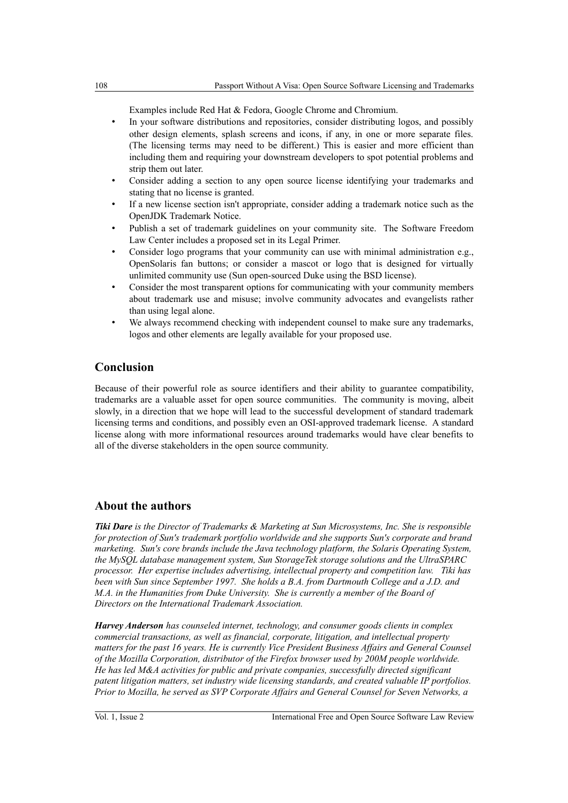Examples include Red Hat & Fedora, Google Chrome and Chromium.

- In your software distributions and repositories, consider distributing logos, and possibly other design elements, splash screens and icons, if any, in one or more separate files. (The licensing terms may need to be different.) This is easier and more efficient than including them and requiring your downstream developers to spot potential problems and strip them out later.
- Consider adding a section to any open source license identifying your trademarks and stating that no license is granted.
- If a new license section isn't appropriate, consider adding a trademark notice such as the OpenJDK Trademark Notice.
- Publish a set of trademark guidelines on your community site. The Software Freedom Law Center includes a proposed set in its Legal Primer.
- Consider logo programs that your community can use with minimal administration e.g., OpenSolaris fan buttons; or consider a mascot or logo that is designed for virtually unlimited community use (Sun open-sourced Duke using the BSD license).
- Consider the most transparent options for communicating with your community members about trademark use and misuse; involve community advocates and evangelists rather than using legal alone.
- We always recommend checking with independent counsel to make sure any trademarks, logos and other elements are legally available for your proposed use.

# **Conclusion**

Because of their powerful role as source identifiers and their ability to guarantee compatibility, trademarks are a valuable asset for open source communities. The community is moving, albeit slowly, in a direction that we hope will lead to the successful development of standard trademark licensing terms and conditions, and possibly even an OSI-approved trademark license. A standard license along with more informational resources around trademarks would have clear benefits to all of the diverse stakeholders in the open source community.

# **About the authors**

*Tiki Dare is the Director of Trademarks & Marketing at Sun Microsystems, Inc. She is responsible for protection of Sun's trademark portfolio worldwide and she supports Sun's corporate and brand marketing. Sun's core brands include the Java technology platform, the Solaris Operating System, the MySQL database management system, Sun StorageTek storage solutions and the UltraSPARC processor. Her expertise includes advertising, intellectual property and competition law. Tiki has been with Sun since September 1997. She holds a B.A. from Dartmouth College and a J.D. and M.A. in the Humanities from Duke University. She is currently a member of the Board of Directors on the International Trademark Association.*

*Harvey Anderson has counseled internet, technology, and consumer goods clients in complex commercial transactions, as well as financial, corporate, litigation, and intellectual property matters for the past 16 years. He is currently Vice President Business Affairs and General Counsel of the Mozilla Corporation, distributor of the Firefox browser used by 200M people worldwide. He has led M&A activities for public and private companies, successfully directed significant patent litigation matters, set industry wide licensing standards, and created valuable IP portfolios. Prior to Mozilla, he served as SVP Corporate Affairs and General Counsel for Seven Networks, a*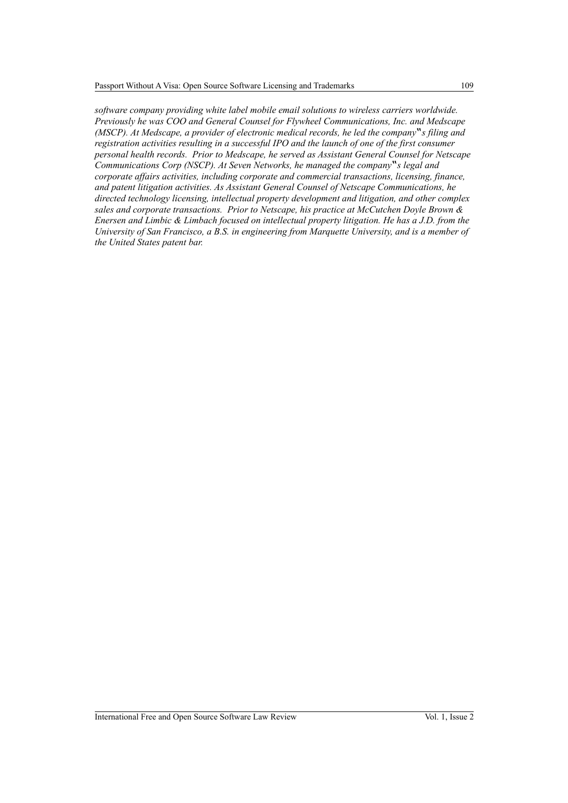*software company providing white label mobile email solutions to wireless carriers worldwide. Previously he was COO and General Counsel for Flywheel Communications, Inc. and Medscape (MSCP). At Medscape, a provider of electronic medical records, he led the company*"*s filing and registration activities resulting in a successful IPO and the launch of one of the first consumer personal health records. Prior to Medscape, he served as Assistant General Counsel for Netscape Communications Corp (NSCP). At Seven Networks, he managed the company*"*s legal and corporate affairs activities, including corporate and commercial transactions, licensing, finance, and patent litigation activities. As Assistant General Counsel of Netscape Communications, he directed technology licensing, intellectual property development and litigation, and other complex sales and corporate transactions. Prior to Netscape, his practice at McCutchen Doyle Brown & Enersen and Limbic & Limbach focused on intellectual property litigation. He has a J.D. from the University of San Francisco, a B.S. in engineering from Marquette University, and is a member of the United States patent bar.*